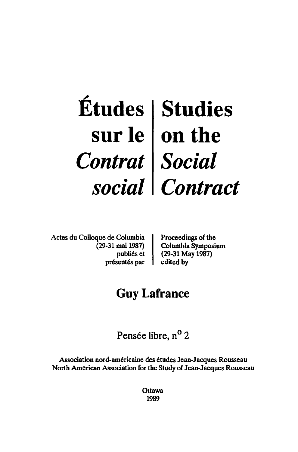# ~ **Etudes sur Ie**  *Contrat social*  **Studies on the**  *Social Contract*

Actes du Colloque de Columbia (29-31 mai 1987) publiés et présentés par Proceedings of the Columbia Symposium (29-31 May 1987) edited by

# **Guy Lafrance**

Pensée libre, n<sup>o</sup> 2

Association nord-américaine des études Jean-Jacques Rousseau North American Association for the Study of Jean-Jacques Rousseau

> **Ottawa** 1989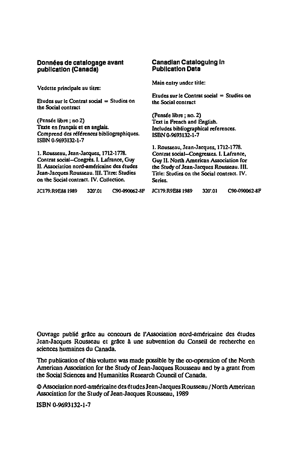#### Données de catalogage avant publication (Canada)

Vedette principale au titre:

Etudes sur Ie Contrat social = Studies on the Social contract

(Pensée libre; no 2) Texte en français et en anglais. Comprend des références bibliographiques. ISBN 0-9693132-1-7

1. Rousseau, Jean-Jacques, 1712-1778. Contrat social--Congrès. I. Lafrance, Guy II. Association nord-américaine des études Jean-Jacques Rousseau. III. Titre: Studies on the Social contract. IV. Collection.

#### Canadian Cataloguing In Publication Data

Main entry under title:

Etudes sur le Contrat social  $=$  Studies on the Social contract

(Pensée libre : no. 2) Text in French and English. Includes bibliographical references. ISBN 0-9693132-1-7

1. Rousseau, Jean-Jacques, 1712-1778. Contrat social-Congresses. I. Lafrance, Guy II. North American Association for tbe Study of Jean-Jacques Rousseau. III. Title: Studies on the Social contract. IV. Series.

|  | <b>JC179.R9E88 1989</b> |  | 320'.01 | C90-090062-8F |
|--|-------------------------|--|---------|---------------|
|--|-------------------------|--|---------|---------------|

JCI79.R9E881989 320'.01 C90-090062·8P JCI79.R9E881989 320'.01 C90-090062-8P

Ouvrage publié grâce au concours de l'Association nord-américaine des études Jean-Jacques Rousseau et grâce à une subvention du Conseil de recherche en sciences humaines du Canada,

The publication of this volume was made possible by the co-operation of the North American Association for the Study of Jean-Jacques Rousseau and by a grant from the Social Sciences and Humanities Research Council of Canada.

e Association nord-americaine des etudesJ ean·J acq ues Rousseau / North American Association for the Study of Jean-Jacques Rousseau, 1989

ISBN 0-9693132-1-7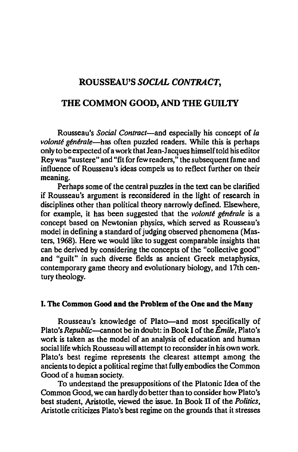## ROUSSEAU'S *SOCIAL CONTRACT,*

## THE COMMON GOOD, AND THE GUILTY

Rousseau's *Social Contract-and* especially his concept of *La volonté générale*—has often puzzled readers. While this is perhaps only to be expected of a work that Jean-J acques himself told his editor Reywas "austere" and "fit for few readers," the subsequent fame and influence of Rousseau's ideas compels us to reflect further on their meaning.

Perhaps some of the central puzzles in the text can be clarified if Rousseau's argument is reconsidered in the light of research in disciplines other than political theory narrowly defined. Elsewhere, for example, it has been suggested that the *volante generale* is a concept based on Newtonian physics, which served as Rousseau's model in defining a standard of judging observed phenomena (Masters, 1968). Here we would like to suggest comparable insights that can be derived by considering the concepts of the "collective good" and "guilt" in such diverse fields as ancient Greek metaphysics, contemporary game theory and evolutionary biology, and 17th century theology.

### I. The Common Good and the Problem of the One and the Many

Rousseau's knowledge of Plato-and most specifically of Plato's *Republic--cannot* be in doubt: in Book I of the *Emile,* Plato's work is taken as the model of an analysis of education and human social life which Rousseau will attempt to reconsider in his own work. Plato's best regime represents the clearest attempt among the ancients to depict a political regime that fully embodies the Common Good of a human society.

To understand the presuppositions of the Platonic Idea of the Common Good, we can hardly do better than to consider how Plato's best student, Aristotle, viewed the issue. In Book IT of the *Politics,*  Aristotle criticizes Plato's best regime on the grounds that it stresses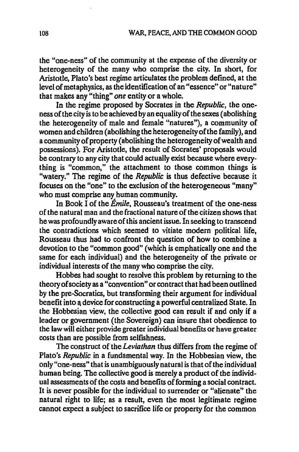the "one-ness" of the community at the expense of the diversity or heterogeneity of the many who comprise the city. In short, for Aristotle, Plato's best regime articulates the problem defined, at the level of metaphysics, as the identification of an "essence" or "nature" that makes any "thing" *one* entity or a whole.

In the regime proposed by Socrates in the *Republic,* the oneness of the city is to be achieved by an equality of the sexes (abolishing the heterogeneity of male and female "natures"), a community of women and children (abolishing the heterogeneity of the family), and a community of property (abolishing the heterogeneity of wealth and possessions). For Aristotle, the result of Socrates' proposals would be contrary to any city that could actually exist because where everything is "common," the attachment to those common things is "watery." The regime of the *Republic* is thus defective because it focuses on the "one" to the exclusion of the heterogeneous "many" who must comprise any human community.

In Book I of the *Emile,* Rousseau's treatment of the one-ness of the natural man and the fractional nature of the citizen shows that he was profoundly aware of this ancient issue. In seeking to transcend the contradictions which seemed to vitiate modern political life, Rousseau thus had to confront the question of how to combine a devotion to the "common good" (which is emphatically one and the same for each individual) and the heterogeneity of the private or individual interests of the many who comprise the city.

Hobbes had sought to resolve this problem by returning to the theory of society as a "convention" or contract that had been outlined by the pre-Socratics, but transforming their argument for individual benefit into a device for constructing a powerful centralized State. In the Hobbesian view, the collective good can result if and only if a leader or government (the Sovereign) can insure that obedience to the law will either provide greater individual benefits or have greater costs than are possible from selfishness.

The construct of the *Leviathan* thus differs from the regime of Plato's *Republic* in a fundamental way. In the Hobbesian view, the only "one-ness" that is unambiguously natural is that of the individual human being. The collective good is merely a product of the individual assessments of the costs and benefits of forming a social contract. It is never possible for the individual to surrender or "alienate" the natural right to life; as a result, even the most legitimate regime cannot expect a subject to sacrifice life or property for the common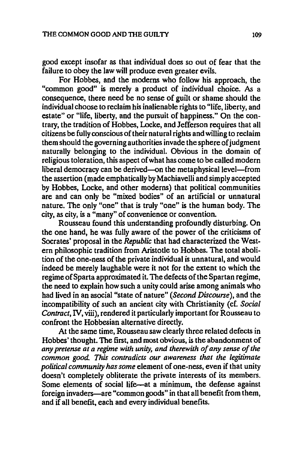good except insofar as that individual does so out of fear that the failure to obey the law will produce even greater evils.

For Hobbes, and the moderns who follow his approach, the "common good" is merely a product of individual choice. As a consequence, there need be no sense of guilt or shame should the individual choose to reclaim his inalienable rights to "life, liberty, and estate" or "life, liberty, and the pursuit of happiness." On the contrary, the tradition of Hobbes, Locke, and Jefferson requires that all citizens be fully conscious of their natural rights and willing to reclaim them should the governing authorities invade the sphere of judgment naturally belonging to the individual. Obvious in the domain of religious toleration, this aspect of what has come to be called modern liberal democracy can be derived—on the metaphysical level—from the assertion (made emphatically by Machiavelli and simply accepted by Hobbes, Locke, and other moderns) that political communities are and can only be "mixed bodies" of an artificial or unnatural nature. The only "one" that is truly "one" is the human body. The city, as city, is a "many" of convenience or convention.

Rousseau found this understanding profoundly disturbing. On the one hand, he was fully aware of the power of the criticisms of Socrates' proposal in the *Republic* that had characterized the Western philosophic tradition from Aristotle to Hobbes. The total abolition of the one-ness of the private individual is unnatural, and would indeed be merely laughable were it not for the extent to which the regime of Sparta approximated it. The defects of the Spartan regime, the need to explain how such a unity could arise among animals who had lived in an asocial "state of nature" *(Second Discourse),* and the incompatibility of such an ancient city with Christianity (cf. *Social Contract,* IV, viii), rendered it particularly important for Rousseau to confront the Hobbesian alternative directly.

At the same time, Rousseau saw clearly three related defects in Hobbes' thought. The first, and most obvious, is the abandonment of *any pretense at a regime with unity, and therewith of any sense of the common good. This contradicts our awareness that the legitimate political community has some* element of one-ness, even if that unity doesn't completely obliterate the private interests of its members. Some elements of social life-at a minimum, the defense against foreign invaders-are "common goods" in that all benefit from them, and if all benefit, each and every individual benefits.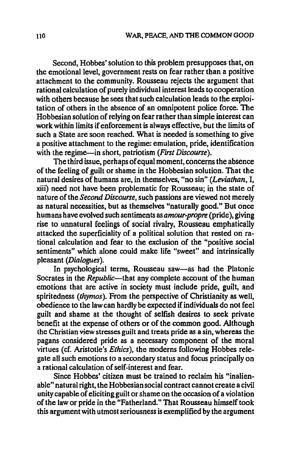Second, Hobbes' solution to this problem presupposes that, on the emotional level, government rests on fear rather than a positive attachment to the community. Rousseau rejects the argument that rational calculation of purely individual interest leads to cooperation with others because he sees that such calculation leads to the exploitation of others in the absence of an omnipotent police force. The Hobbesian solution of relying on fear rather than simple interest can work within limits if enforcement is always effective, but the limits of such a State are soon reached. What is needed is something to give a positive attachment to the regime: emulation, pride, identification with the regime-in short, patriotism *(First Discourse)*.

The third issue, perhaps of equal moment, concerns the absence of the feeling of guilt or shame in the Hobbesian solution. That the natural desires of humans are, in themselves, "no sin" *(Leviathan, I,*  xiii) need not have been problematic for Rousseau; in the state of nature of the *Second Discourse,* such passions are viewed not merely as natural necessities, but as themselves "naturally good." But once humans have evolved such sentiments as *amour-propre* (pride), giving rise to unnatural feelings of social rivalry, Rousseau emphatically attacked the superficiality of a political solution that rested on rational calculation and fear to the exclusion of the "positive social sentiments" which alone could make life "sweet" and intrinsically pleasant *(Dialogues).* 

In psychological terms, Rousseau saw-as had the Platonic Socrates in the *Republic*—that any complete account of the human emotions that are active in society must include pride, guilt, and spiritedness *(thymos).* From the perspective of Christianity as well, obedience to the law can hardly be expected if individuals do not feel guilt and shame at the thought of selfish desires to seek private benefit at the expense of others or of the common good. Although the Christian view stresses guilt and treats pride as a sin, whereas the pagans considered pride as a necessary component of the moral virtues (cf. Aristotle's *Ethics),* the moderns following Hobbes relegate all such emotions to a secondary status and focus principally on a rational calculation of self-interest and fear.

Since Hobbes' citizen must be trained to reclaim his "inalienable" natural right, the Hobbesian social contract cannot create a civil unity capable of eliciting guilt or shame on the occasion of a violation of the law or pride in the "Fatherland." That Rousseau himself took this argument with utmost seriousness is exemplified by the argument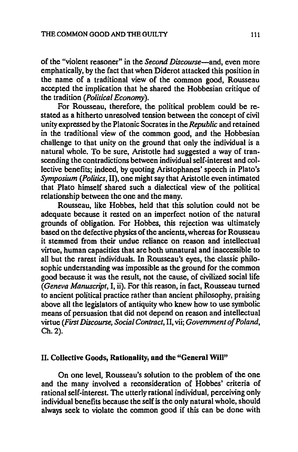of the "violent reasoner" in the *Second Discourse-and,* even more emphatically, by the fact that when Diderot attacked this position in the name of a traditional view of the common good, Rousseau accepted the implication that he shared the Hobbesian critique of the tradition *(Political Economy).* 

For Rousseau, therefore, the political problem could be restated as a hitherto unresolved tension between the concept of civil unity expressed by the Platonic Socrates in the *Republic* and retained in the traditional view of the common good, and the Hobbesian challenge to that unity on the ground that only the individual is a natural whole. To be sure, Aristotle had suggested a way of transcending the contradictions between individual self-interest and collective benefits; indeed, by quoting Aristophanes' speech in Plato's *Symposium (Politics,* II), one might say that Aristotle even intimated that Plato himself shared such a dialectical view of the political relationship between the one and the many.

Rousseau, like Hobbes, held that this solution could not be adequate because it rested on an imperfect notion of the natural grounds of obligation. For Hobbes, this rejection was ultimately based on the defective physics of the ancients, whereas for Rousseau it stemmed from their undue reliance on reason and intellectual virtue, human capacities that are both unnatural and inaccessible to all but the rarest individuals. In Rousseau's eyes, the classic philosophic understanding was impossible as the ground for the common good because it was the result, not the cause, of civilized social life *(Geneva Manuscript,* I, ii). For this reason, in fact, Rousseau turned to ancient political practice rather than ancient philosophy, praising above all the legislators of antiquity who knew how to use symbolic means of persuasion that did not depend on reason and intellectual virtue *(First Discourse, Social Contract,* II, vii; *Government of Poland,*  Ch.2).

## II. Collective Goods, Rationality, and the "General Will"

On one level, Rousseau's solution to the problem of the one and the many involved a reconsideration of Hobbes' criteria of rational self-interest. The utterly rational individual, perceiving only individual benefits because the self is the only natural whole, should always seek to violate the common good if this can be done with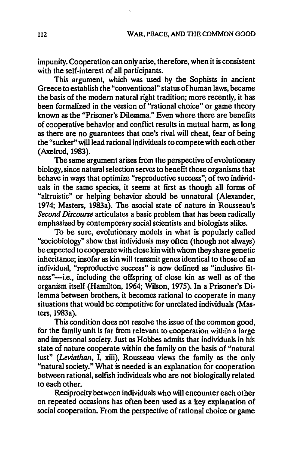impunity. Cooperation can only arise, therefore, when it is consistent with the self-interest of all participants.

This argument, which was used by the Sophists in ancient Greece to establish the "conventional" status of human laws, became the basis of the modern natural right tradition; more recently, it has been formalized in the version of "rational choice" or game theory known as the "Prisoner's Dilemma." Even where there are benefits of cooperative behavior and conflict results in mutual harm, as long as there are no guarantees that one's rival will cheat, fear of being the "sucker" will lead rational individuals to compete with each other (Axelrod, 1983).

The same argument arises from the perspective of evolutionary biology, since natural selection serves to benefit those organisms that behave in ways that optimize "reproductive success"; of two individuals in the same species, it seems at first as though all forms of "altruistic" or helping behavior should be unnatural (Alexander, 1974; Masters, 1983a). The asocial state of nature in Rousseau's *Second Discourse* articulates a basic problem that has been radically emphasized by contemporary social scientists and biologists alike.

To be sure, evolutionary models in what is popularly called "sociobiology" show that individuals may often (though not always) be expected to cooperate with close kin with whom they share genetic inheritance; insofar as kin will transmit genes identical to those of an individual, "reproductive success" is now defined as "inclusive fitness"-i.e., including the offspring of close kin as well as of the organism itself (Hamilton, 1964; Wilson, 1975). In a Prisoner's Dilemma between brothers, it becomes rational to cooperate in many situations that would be competitive for unrelated individuals *(Mas*ters, 1983a).

This condition does not resolve the issue of the common good, for the family unit is far from relevant to cooperation within a large and impersonal society. Just as Hobbes admits that individuals in his state of nature cooperate within the family on the basis of "natural lust" *(Leviathan,* I, xiii), Rousseau views the family as the only "natural society." What is needed is an explanation for cooperation between rational, selfish individuals who are not biologically related to each other.

Reciprocity between individuals who will encounter each other on repeated occasions has often been used as a key explanation of social cooperation. From the perspective of rational choice or game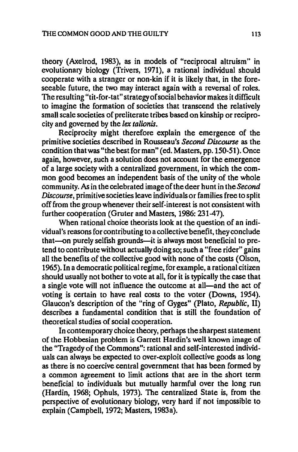theory (Axelrod, 1983), as in models of "reciprocal altruism" in evolutionary biology (Trivers, 1971), a rational individual should cooperate with a stranger or non-kin if it is likely that, in the foreseeable future, the two may interact again with a reversal of roles. The resulting "tit-for-tat" strategy of social behavior makes it difficult to imagine the formation of societies that transcend the relatively small scale societies of preliterate tribes based on kinship or reciprocity and governed by the *lex talionis.* 

Reciprocity might therefore explain the emergence of the primitive societies described in Rousseau's *Second Discourse* as the condition that was "the best for man" (ed. Masters, pp. 150-51). Once again, however, such a solution does not account for the emergence of a large society with a centralized government, in which the common good becomes an independent basis of the unity of the whole community. As in the celebrated image of the deer hunt in the *Second Discourse,* primitive societies leave individuals or families free to split off from the group whenever their self-interest is not consistent with further cooperation (Gruter and Masters, 1986: 231-47).

When rational choice theorists look at the question of an individual's reasons for contributing to a collective benefit, they conclude that-on purely selfish grounds-it is always most beneficial to pretend to contribute without actually doing so; such a "free rider" gains all the benefits of the collective good with none of the costs (Olson, 1965). In a democratic political regime, for example, a rational citizen should usually not bother to vote at all, for it is typically the case that a single vote will not influence the outcome at all—and the act of voting is certain to have real costs to the voter (Downs, 1954). Glaucon's description of the "ring of Gyges" (Plato, *Republic, II)*  describes a fundamental condition that is still the foundation of theoretical studies of social cooperation.

In contemporary choice theory, perhaps the sharpest statement of the Hobbesian problem is Garrett Hardin's well known image of the "Tragedy of the Commons": rational and self-interested individuals can always be expected to over-exploit collective goods as long as there is no coercive central government that has been formed by a common agreement to limit actions that are in the short term beneficial to individuals but mutually harmful over the long run (Hardin, 1968; Ophuls, 1973). The centralized State is, from the perspective of evolutionary biology, very hard if not impossible to explain (Campbell, 1972; Masters, 1983a).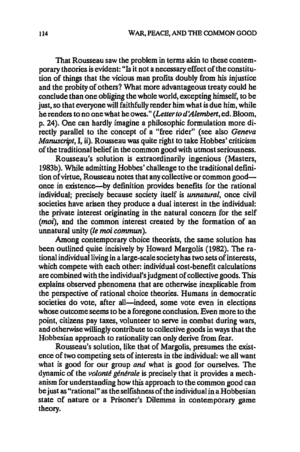That Rousseau saw the problem in terms akin to these contemporary theories is evident: "Is it not a necessary effect of the constitution of things that the vicious man profits doubly from his injustice and the probity of others? What more advantageous treaty could he conclude than one obliging the whole world, excepting himself, to be just, so that everyone will faithfully render him what is due him, while he renders to no one what he owes." *(Letter to d'Alembert,* ed. Bloom, p. 24). One can hardly imagine a philosophic formulation more directly parallel to the concept of a "free rider" (see also *Geneva Manuscript,* 1, ii). Rousseau was quite right to take Hobbes' criticism of the traditional belief in the common good with utmost seriousness.

Rousseau's solution is extraordinarily ingenious (Masters, 1983b). While admitting Hobbes' challenge to the traditional definition of virtue, Rousseau notes that any collective or common goodonce in existence-by definition provides benefits for the rational individual; precisely because society itself is *unnatural,* once civil societies have arisen they produce a dual interest in the individual: the private interest originating in the natural concern for the self *(moi)*, and the common interest created by the formation of an unnatural unity (Ie moi commun).

Among contemporary choice theorists, the same solution has been outlined quite incisively by Howard Margolis (1982). The rational individual living in a large-scale society has two sets of interests, which compete with each other: individual cost-benefit calculations are combined with the individual's judgment of collective goods. This explains observed phenomena that are otherwise inexplicable from the perspective of rational choice theories. Humans in democratic societies do vote, after all—indeed, some vote even in elections whose outcome seems to be a foregone conclusion. Even more to the point, citizens pay taxes, volunteer to serve in combat during wars, and otherwise willingly contribute to collective goods in ways that the Hobbesian approach to rationality can only derive from fear.

Rousseau's solution, like that of Margolis, presumes the existence of two competing sets of interests in the individual: we all want what is good for our group *and* what is good for ourselves. The dynamic of the *volante generaie* is precisely that it provides a mechanism for understanding how this approach to the common good can be just as "rational" as the selftshness of the individual in a Hobbesian state of nature or a Prisoner's Dilemma in contemporary game theory.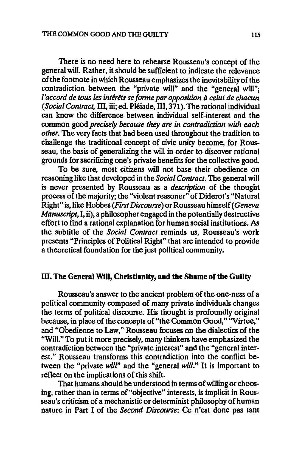There is no need here to rehearse Rousseau's concept of the general will. Rather, it should be sufficient to indicate the relevance of the footnote in which Rousseau emphasizes the inevitability of the contradiction between the "private will" and the "general will"; *l'accord de tous les intérêts se forme par opposition à celui de chacun (Social Contract,* III, iii; ed. Pleiade, ill, 371). The rational individual can know the difference between individual self-interest and the common good *precisely because they are in contradiction with each other.* The very facts that had been used throughout the tradition to challenge the traditional concept of civic unity become, for Rousseau, the basis of generalizing the will in order to discover rational grounds for sacrificing one's private benefits for the collective good.

To be sure, most citizens will not base their obedience on reasoning like that developed in the *Social Contract.* The general will is never presented by Rousseau as a *description* of the thought process of the majority; the "violent reasoner" of Diderot's "Natural Right" is, like Hobbes *(First Discourse)* or Rousseau himself *(Geneva Manuscript,* I, ii), a philosopher engaged in the potentially destructive effort to find a rational explanation for human social institutions. As the subtitle of the *Social Contract* reminds us, Rousseau's work presents "Principles of Political Right" that are intended to provide a theoretical foundation for the just political community.

### III. The General Will, Christianity, and the Shame of the Guilty

Rousseau's answer to the ancient problem of the one-ness of a political community composed of many private individuals changes the terms of political discourse. His thought is profoundly original because, in place of the concepts of "the Common Good," "Virtue," and "Obedience to Law," Rousseau focuses on the dialectics of the "Will." To put it more precisely, many thinkers have emphasized the contradiction between the "private interest" and the "general interest." Rousseau transforms this contradiction into the conflict between the "private *will"* and the "general *will."* It is important to reflect on the implications of this shift.

That humans should be understood in terms of willing or choosing, rather than in terms of "objective" interests, is implicit in Rousseau's criticism of a mechanistic or determinist philosophy of human nature in Part I of the *Second Discourse:* Ce n'est donc pas tant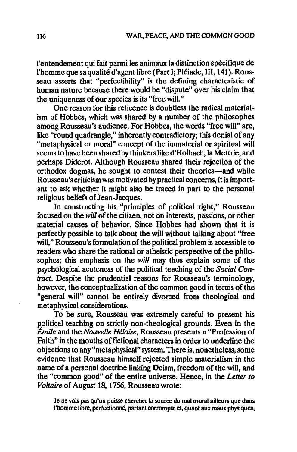l'entendement qui fait parmi les animaux la distinction spécifique de l'homme que sa qualité d'agent libre (Part I; Pléiade, III, 141). Rousseau asserts that "perfectibility" is the defining characteristic of human nature because there would be "dispute" over his claim that the uniqueness of our species is its "free will."

One reason for this reticence is doubtless the radical materialism of Hobbes, which was shared by a number of the philosophes among Rousseau's audience. For Hobbes, the words "free will" are, like "round quadrangle," inherently contradictory; this denial of any "metaphysical or moral" concept of the immaterial or spiritual will seems to have been shared by thinkers like d'Holbach, la Mettrie, and perhaps Diderot. Although Rousseau shared their rejection of the orthodox dogmas, he sought to contest their theories—and while Rousseau's criticism was motivated by practical concerns, it is important to ask whether it might also be traced in part to the personal religious beliefs of Jean-Jacques.

In constructing his "principles of political right," Rousseau focused on the *will* of the citizen, not on interests, passions, or other material causes of behavior. Since Hobbes had shown that it is perfectly possible to talk about the will without talking about "free will," Rousseau's formulation of the political problem is accessible to readers who share the rational or atheistic perspective of the philosophes; this emphasis on the *will* may thus explain some of the psychological acuteness of the political teaching of the Social Con*tract.* Despite the prudential reasons for Rousseau's terminology, however, the conceptualization of the common good in terms of the "general will" cannot be entirely divorced from theological and metaphysical considerations.

To be sure, Rousseau was extremely careful to present his political teaching on strictly non-theological grounds. Even in the *Emile* and the *Nouvelle He/oise,* Rousseau presents a "Profession of Faith" in the mouths of fictional characters in order to underline the objections to any "metaphysical" system. There is, nonetheless, some evidence that Rousseau himself rejected simple materialism in the name of a personal doctrine linking Deism, freedom of the will, and the "common good" of the entire universe. Hence, in the *Letter to Voltaire* of August 18, 1756, Rousseau wrote:

Je ne vois pas qu'on puisse chercher la source du mal moral ailleurs que dans l'homme libre, perfectionné, partant corrompu; et, quant aux maux physiques,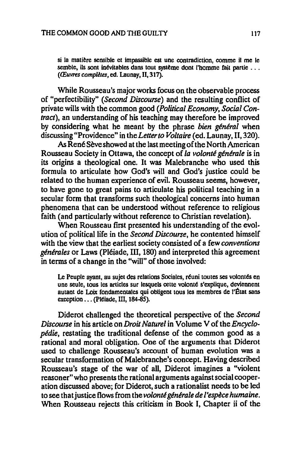si la matière sensible et impassible est une contradiction, comme it me le semble, ils sont inévitables dans tout système dont l'homme fait partie ... *(Œuvres complètes, ed. Launay, II, 317).* 

While Rousseau's major works focus on the observable process of "perfectibility" *(Second Discourse)* and the resulting conflict of private wills with the common good *(Political Economy, Social Contract),* an understanding of his teaching may therefore be improved by considering what he meant by the phrase *bien general* when discussing "Providence" in the *Letter to Voltaire* (ed. Launay, II, 320).

As René Sève showed at the last meeting of the North American Rousseau Society in Ottawa, the concept of *la volonte generale* is in its origins a theological one. It was Malebranche who used this formula to articulate how God's will and God's justice could be related to the human experience of evil. Rousseau seems, however, to have gone to great pains to articulate his political teaching in a secular form that transforms such theological concerns into human phenomena that can be understood without reference to religious faith (and particularly without reference to Christian revelation).

When Rousseau first presented his understanding of the evolution of political life in the *Second Discourse,* he contented himself with the view that the earliest society consisted of a few *conventions generales* or Laws (Pleiade, ill, 180) and interpreted this agreement in terms of a change in the "wiU" of those involved:

Le Peuple ayant, au sujet des relations Sociales, réuni toutes ses volontés en une seule, tous les articles sur lesquels cette volonté s'explique, deviennent autant de Loix fondamentales qui obligent tous les membres de I'Etat sans  $exception$ ... (Piéiade, III, 184-85).

Diderot challenged the theoretical perspective of the *Second Discourse* in his article on *Droit Naturel* in Volume V of the *Encyclopedie,* restating the traditional defense of the common good as a rational and moral obligation. One of the arguments that Diderot used to challenge Rousseau's account of human evolution was a secular transformation of Malebranche's concept. Having described Rousseau's stage of the war of all, Diderot imagines a "violent reasoner" who presents the rational arguments against social cooperation discussed above; for Diderot, such a rationalist needs to be led to see that justice flows from the *volonté générale de l'espèce humaine*. When Rousseau rejects this criticism in Book I, Chapter ii of the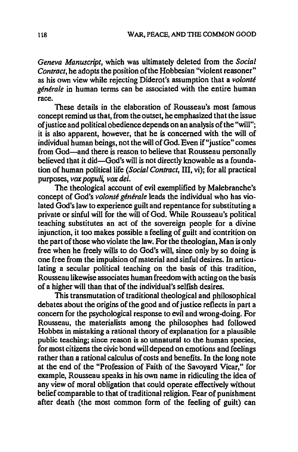*Geneva Manuscript,* which was ultimately deleted from the *Social Contract,* he adopts the position of the Hobbesian "violent reasoner" as his own view while rejecting Diderot's assumption that a *volonte generale* in human terms can be associated with the entire human race.

These details in the elaboration of Rousseau's most famous concept remind us that, from the outset, he emphasized that the issue of justice and political obedience depends on an analysis of the "will"; it is also apparent, however, that he is concerned with the will of individual human beings, not the will of God. Even if "justice" comes from God-and there is reason to believe that Rousseau personally believed that it did-God's will is not directly knowable as a foundation of human political life *(Social Contract, III, vi)*; for all practical purposes, *vox populi*, *vox del*.

The theological account of evil exemplified by Malebranche's concept of God's *volonté générale* leads the individual who has violated God's law to experience guilt and repentance for substituting a private or sinful will for the will of God. While Rousseau's political teaching substitutes an act of the sovereign people for a divine injunction, it too makes possible a feeling of guilt and contrition on the part of those who violate the law. For the theologian, Man is only free when he freely wills to do God's will, since only by so doing is one free from the impulsion of material and sinful desires. In articulating a secular political teaching on the basis of this tradition, Rousseau likewise associates human freedom with acting on the basis of a higher will than that of the individual's selfish desires.

This transmutation of traditional theological and philosophical debates about the origins of the good and of justice reflects in part a concern for the psychological response to evil and wrong-doing. For Rousseau, the materialists among the philosophes had followed Hobbes in mistaking a rational theory of explanation for a plausible public teaching; since reason is so unnatural to the human species, for most citizens the civic bond will depend on emotions and feelings rather than a rational calculus of costs and benefits. In the long note at the end of the "Profession of Faith of the Savoyard Vicar," for example, Rousseau speaks in his own name in ridiculing the idea of any view of moral obligation that could operate effectively without belief comparable to that of traditional religion. Fear of punishment after death (the most common form of the feeling of guilt) can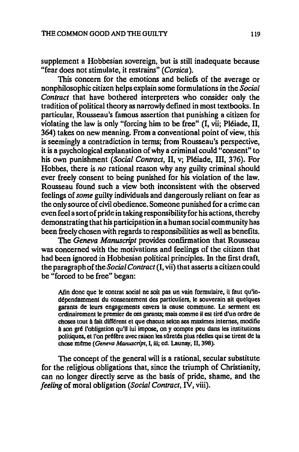supplement a Hobbesian sovereign, but is still inadequate because "fear does not stimulate, it restrains" *(Corsica).* 

This concern for the emotions and beliefs of the average or nonphilosophic citizen helps explain some formulations in the *Social Contract* that have bothered interpreters who consider only the tradition of political theory as narrowly defined in most textbooks. In particular, Rousseau's famous assertion that punishing a citizen for violating the law is only "forcing him to be free" (I, vii; Pleiade, II, 364) takes on new meaning. From a conventional point of view, this is seemingly a contradiction in terms; from Rousseau's perspective, it is a psychological explanation of why a criminal could "consent" to his own punishment *(Social Contract,* II, v; Pleiade, III, 376). For Hobbes, there is *no* rational reason why any guilty criminal should ever freely consent to being punished for his violation of the law. Rousseau found such a view both inconsistent with the observed feelings of *some* guilty individuals and dangerously reliant on fear as the only source of civil obedience. Someone punished for a crime can even feel a sort of pride in taking responsibility for his actions, thereby demonstrating that his participation in a human social community has been freely chosen with regards to responsibilities as well as benefits.

The *Geneva Manuscript* provides confirmation that Rousseau was concerned with the motivations and feelings of the citizen that had been ignored in Hobbesian political principles. In the first draft, the paragraph of the *Social Contract* (I, vii) that asserts a citizen could be "forced to be free" began:

Afin done que Ie contrat social ne soit pas un vain formulaire, il faut qu'indépendamment du consentement des particuliers, le souverain ait quelques garants de leurs engagements envers la cause commune. I.e serment est ordinairement Ie premier de ces garants; mais comme iI est tire d'un ordre de choses tout à fait différent et que chacun selon ses maximes internes, modifie à son gré l'obligation qu'il lui impose, on y compte peu dans les institutions politiques, et l'on préfère avec raison les sûretés plus réelles qui se tirent de la cbose meme *(Geneva Manuscript,* I, iii; ed. Launay, TI, 398).

The concept of the general will is a rational, secular substitute for the religious obligations that, since the triumph of Christianity, can no longer directly serve as the basis of pride, shame, and the *feeling* of moral obligation *(Social Contract,* IV, viii).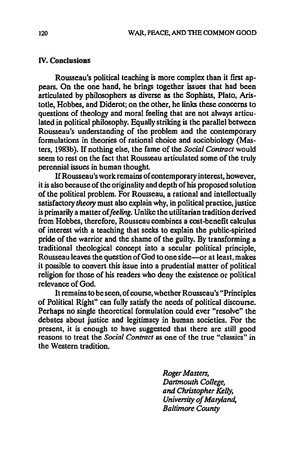#### IV. Conclusions

Rousseau's political teaching is more complex than it first appears. On the one hand, he brings together issues that had been articulated by philosophers as diverse as the Sophists, Plato, Aristotle, Hobbes, and Diderot; on the other, he links these concerns to questions of theology and moral feeling that are not always articulated in political philosophy. Equally striking is the parallel between Rousseau's understanding of the problem and the contemporary formulations in theories of rational choice and sociobiology (Masters, 1983b). If nothing else, the fame of the *Social Contract* would seem to rest on the fact that Rousseau articulated some of the truly perennial issues in human thought.

If Rousseau's work remains of contemporary interest, however, it is also because of the originality and depth of his proposed solution of the political problem. For Rousseau, a rational and intellectually satisfactory *theory* must also explain why, in political practice, justice is primarily a matter of *feeling*. Unlike the utilitarian tradition derived from Hobbes, therefore, Rousseau combines a cost-benefit calculus of interest with a teaching that seeks to explain the public-spirited pride of the warrior and the shame of the guilty. By transforming a traditional theological concept into a secular political principle, Rousseau leaves the question of God to one side-or at least, makes it possible to convert this issue into a prudential matter of political religion for those of his readers who deny the existence or political relevance of God.

It remains to be seen, of course, whether Rousseau's "Principles of Political Right" can fully satisfy the needs of political discourse. Perhaps no single theoretical formulation could ever "resolve" the debates about justice and legitimacy in human societies. For the present, it is enough to have suggested that there are still good reasons to treat the *Social Contract* as one of the true "classics" in the Western tradition.

> *Roger Masters, Dartmouth College, and Christopher Kelly, University of Maryland, Baltimore County*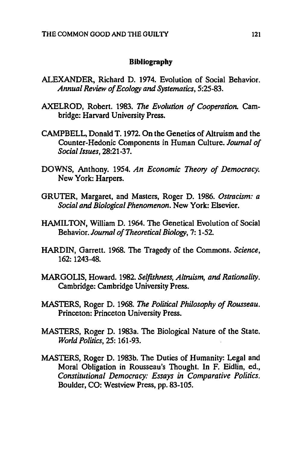#### **Bibliography**

- ALEXANDER. Richard D. 1974. Evolution of Social Behavior. *Annual Review of Ecology and Systematics.* 5:25-83.
- AXELROD. Robert. 1983. *The Evolution of Cooperation.* Cambridge: Harvard University Press.
- CAMPBELL, Donald T. 1972. On the Genetics of Altruism and the Counter-Hedonic Components in Human Culture. *Journal of Social Issues,* 28:21-37.
- DOWNS. Anthony. 1954. *An Economic Theory of Democracy.*  New York: Harpers.
- GRUTER. Margaret. and Masters. Roger D. 1986. *Ostracism: a Social and Biological Phenomenon.* New York: Elsevier.
- HAMILTON. William D. 1964. The Genetical Evolution of Social Behavior. *Journal of Theoretical Biology.* 7: 1-52
- HARDIN. Garrett. 1968. The Tragedy of the Commons. *Science.*  162: 1243-48.
- MARGOLIS. Howard. 1982. *Selfishness, Altruism, and Rationality.*  Cambridge: Cambridge University Press.
- MASTERS. Roger D. 1968. *The Political Philosophy of Rousseau.*  Princeton: Princeton University Press.
- MASTERS. Roger D. 1983a. The Biological Nature of the State. *World Politics.* 25: 161-93.
- MASTERS. Roger D. 1983b. The Duties of Humanity: Legal and Moral Obligation in Rousseau's Thought. In F. Eidlin, ed., *Constitutional Democracy: Essays* in *Comparative Politics.*  Boulder, CO: Westview Press, pp. 83-105.